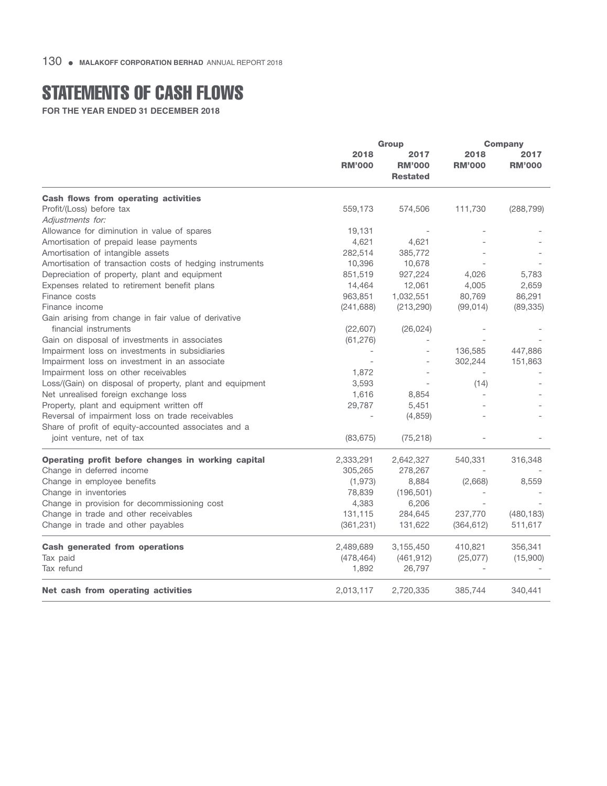## STATEMENTS OF CASH FLOWS

**FOR THE YEAR ENDED 31 DECEMBER 2018**

|                                                                  | Group                 |                                          | <b>Company</b>           |                       |
|------------------------------------------------------------------|-----------------------|------------------------------------------|--------------------------|-----------------------|
|                                                                  | 2018<br><b>RM'000</b> | 2017<br><b>RM'000</b><br><b>Restated</b> | 2018<br><b>RM'000</b>    | 2017<br><b>RM'000</b> |
|                                                                  |                       |                                          |                          |                       |
| Cash flows from operating activities<br>Profit/(Loss) before tax | 559,173               | 574,506                                  | 111,730                  | (288, 799)            |
| Adjustments for:                                                 |                       |                                          |                          |                       |
| Allowance for diminution in value of spares                      | 19,131                |                                          |                          |                       |
| Amortisation of prepaid lease payments                           | 4,621                 | 4,621                                    |                          |                       |
| Amortisation of intangible assets                                | 282,514               | 385,772                                  |                          |                       |
| Amortisation of transaction costs of hedging instruments         | 10,396                | 10,678                                   |                          |                       |
| Depreciation of property, plant and equipment                    | 851,519               | 927,224                                  | 4,026                    | 5,783                 |
| Expenses related to retirement benefit plans                     | 14,464                | 12,061                                   | 4,005                    | 2,659                 |
| Finance costs                                                    | 963,851               | 1,032,551                                | 80,769                   | 86,291                |
| Finance income                                                   | (241, 688)            | (213, 290)                               | (99, 014)                | (89, 335)             |
| Gain arising from change in fair value of derivative             |                       |                                          |                          |                       |
| financial instruments                                            | (22, 607)             | (26, 024)                                |                          |                       |
| Gain on disposal of investments in associates                    | (61, 276)             |                                          |                          |                       |
| Impairment loss on investments in subsidiaries                   |                       |                                          | 136,585                  | 447,886               |
| Impairment loss on investment in an associate                    |                       |                                          | 302,244                  | 151,863               |
| Impairment loss on other receivables                             | 1,872                 |                                          | $\overline{\phantom{a}}$ |                       |
|                                                                  | 3,593                 |                                          | (14)                     |                       |
| Loss/(Gain) on disposal of property, plant and equipment         |                       |                                          |                          |                       |
| Net unrealised foreign exchange loss                             | 1,616                 | 8,854                                    |                          |                       |
| Property, plant and equipment written off                        | 29,787                | 5,451                                    |                          |                       |
| Reversal of impairment loss on trade receivables                 |                       | (4,859)                                  |                          |                       |
| Share of profit of equity-accounted associates and a             |                       |                                          |                          |                       |
| joint venture, net of tax                                        | (83, 675)             | (75, 218)                                |                          |                       |
| Operating profit before changes in working capital               | 2,333,291             | 2,642,327                                | 540,331                  | 316,348               |
| Change in deferred income                                        | 305,265               | 278,267                                  |                          |                       |
| Change in employee benefits                                      | (1,973)               | 8,884                                    | (2,668)                  | 8,559                 |
| Change in inventories                                            | 78,839                | (196, 501)                               |                          |                       |
| Change in provision for decommissioning cost                     | 4,383                 | 6,206                                    |                          |                       |
| Change in trade and other receivables                            | 131,115               | 284,645                                  | 237,770                  | (480, 183)            |
| Change in trade and other payables                               | (361, 231)            | 131,622                                  | (364, 612)               | 511,617               |
| <b>Cash generated from operations</b>                            | 2,489,689             | 3,155,450                                | 410,821                  | 356,341               |
| Tax paid                                                         | (478, 464)            | (461, 912)                               | (25,077)                 | (15,900)              |
| Tax refund                                                       | 1,892                 | 26,797                                   |                          |                       |
| Net cash from operating activities                               | 2,013,117             | 2,720,335                                | 385,744                  | 340,441               |